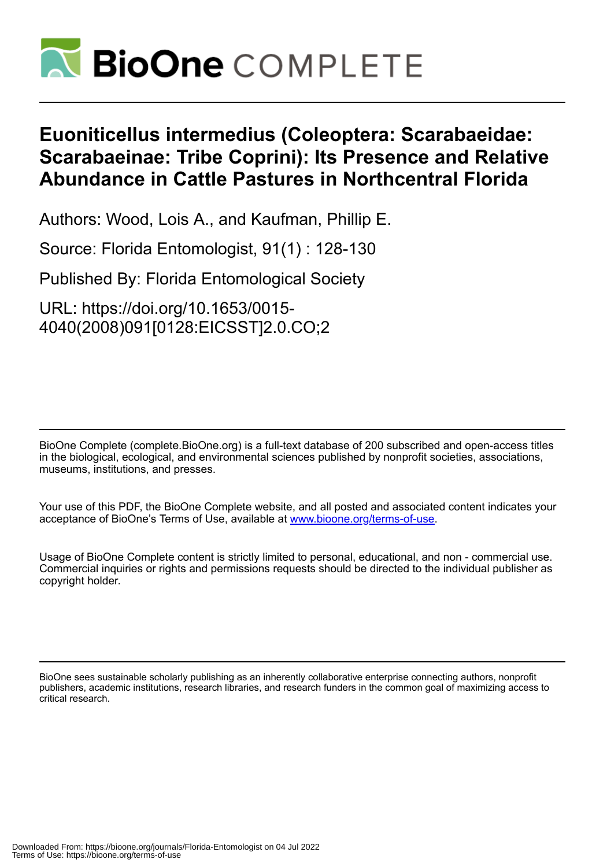

## **Euoniticellus intermedius (Coleoptera: Scarabaeidae: Scarabaeinae: Tribe Coprini): Its Presence and Relative Abundance in Cattle Pastures in Northcentral Florida**

Authors: Wood, Lois A., and Kaufman, Phillip E.

Source: Florida Entomologist, 91(1) : 128-130

Published By: Florida Entomological Society

URL: https://doi.org/10.1653/0015- 4040(2008)091[0128:EICSST]2.0.CO;2

BioOne Complete (complete.BioOne.org) is a full-text database of 200 subscribed and open-access titles in the biological, ecological, and environmental sciences published by nonprofit societies, associations, museums, institutions, and presses.

Your use of this PDF, the BioOne Complete website, and all posted and associated content indicates your acceptance of BioOne's Terms of Use, available at www.bioone.org/terms-of-use.

Usage of BioOne Complete content is strictly limited to personal, educational, and non - commercial use. Commercial inquiries or rights and permissions requests should be directed to the individual publisher as copyright holder.

BioOne sees sustainable scholarly publishing as an inherently collaborative enterprise connecting authors, nonprofit publishers, academic institutions, research libraries, and research funders in the common goal of maximizing access to critical research.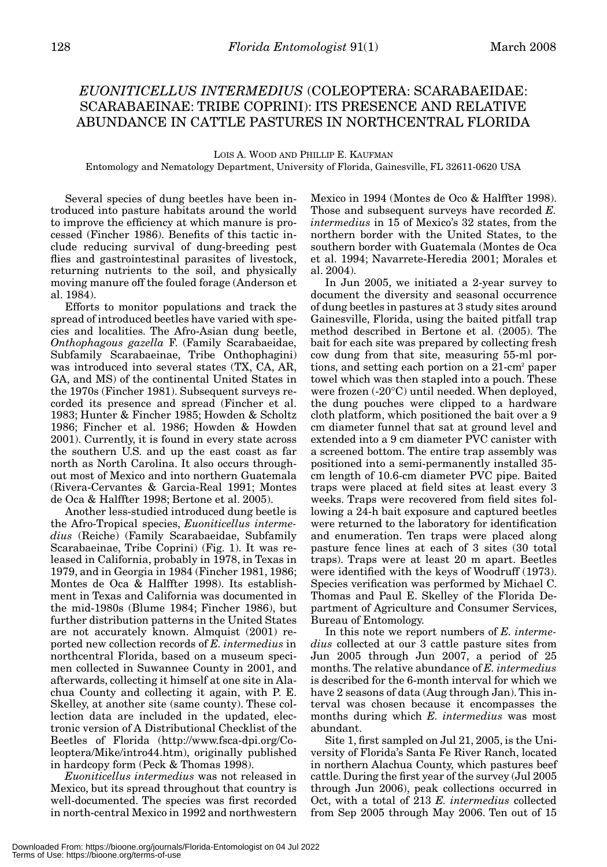## *EUONITICELLUS INTERMEDIUS* (COLEOPTERA: SCARABAEIDAE: SCARABAEINAE: TRIBE COPRINI): ITS PRESENCE AND RELATIVE ABUNDANCE IN CATTLE PASTURES IN NORTHCENTRAL FLORIDA

LOIS A. WOOD AND PHILLIP E. KAUFMAN Entomology and Nematology Department, University of Florida, Gainesville, FL 32611-0620 USA

Several species of dung beetles have been introduced into pasture habitats around the world to improve the efficiency at which manure is processed (Fincher 1986). Benefits of this tactic include reducing survival of dung-breeding pest flies and gastrointestinal parasites of livestock, returning nutrients to the soil, and physically moving manure off the fouled forage (Anderson et al. 1984).

Efforts to monitor populations and track the spread of introduced beetles have varied with species and localities. The Afro-Asian dung beetle, *Onthophagous gazella* F. (Family Scarabaeidae, Subfamily Scarabaeinae, Tribe Onthophagini) was introduced into several states (TX, CA, AR, GA, and MS) of the continental United States in the 1970s (Fincher 1981). Subsequent surveys recorded its presence and spread (Fincher et al. 1983; Hunter & Fincher 1985; Howden & Scholtz 1986; Fincher et al. 1986; Howden & Howden 2001). Currently, it is found in every state across the southern U.S. and up the east coast as far north as North Carolina. It also occurs throughout most of Mexico and into northern Guatemala (Rivera-Cervantes & Garcia-Real 1991; Montes de Oca & Halffter 1998; Bertone et al. 2005).

Another less-studied introduced dung beetle is the Afro-Tropical species, *Euoniticellus intermedius* (Reiche) (Family Scarabaeidae, Subfamily Scarabaeinae, Tribe Coprini) (Fig. 1). It was released in California, probably in 1978, in Texas in 1979, and in Georgia in 1984 (Fincher 1981, 1986; Montes de Oca & Halffter 1998). Its establishment in Texas and California was documented in the mid-1980s (Blume 1984; Fincher 1986), but further distribution patterns in the United States are not accurately known. Almquist (2001) reported new collection records of *E. intermedius* in northcentral Florida, based on a museum specimen collected in Suwannee County in 2001, and afterwards, collecting it himself at one site in Alachua County and collecting it again, with P. E. Skelley, at another site (same county). These collection data are included in the updated, electronic version of A Distributional Checklist of the Beetles of Florida (http://www.fsca-dpi.org/Coleoptera/Mike/intro44.htm), originally published in hardcopy form (Peck & Thomas 1998).

*Euoniticellus intermedius* was not released in Mexico, but its spread throughout that country is well-documented. The species was first recorded in north-central Mexico in 1992 and northwestern Mexico in 1994 (Montes de Oco & Halffter 1998). Those and subsequent surveys have recorded *E. intermedius* in 15 of Mexico's 32 states, from the northern border with the United States, to the southern border with Guatemala (Montes de Oca et al. 1994; Navarrete-Heredia 2001; Morales et al. 2004).

In Jun 2005, we initiated a 2-year survey to document the diversity and seasonal occurrence of dung beetles in pastures at 3 study sites around Gainesville, Florida, using the baited pitfall trap method described in Bertone et al. (2005). The bait for each site was prepared by collecting fresh cow dung from that site, measuring 55-ml portions, and setting each portion on a 21-cm2 paper towel which was then stapled into a pouch. These were frozen (-20°C) until needed. When deployed, the dung pouches were clipped to a hardware cloth platform, which positioned the bait over a 9 cm diameter funnel that sat at ground level and extended into a 9 cm diameter PVC canister with a screened bottom. The entire trap assembly was positioned into a semi-permanently installed 35 cm length of 10.6-cm diameter PVC pipe. Baited traps were placed at field sites at least every 3 weeks. Traps were recovered from field sites following a 24-h bait exposure and captured beetles were returned to the laboratory for identification and enumeration. Ten traps were placed along pasture fence lines at each of 3 sites (30 total traps). Traps were at least 20 m apart. Beetles were identified with the keys of Woodruff (1973). Species verification was performed by Michael C. Thomas and Paul E. Skelley of the Florida Department of Agriculture and Consumer Services, Bureau of Entomology.

In this note we report numbers of *E. intermedius* collected at our 3 cattle pasture sites from Jun 2005 through Jun 2007, a period of 25 months. The relative abundance of *E. intermedius* is described for the 6-month interval for which we have 2 seasons of data (Aug through Jan). This interval was chosen because it encompasses the months during which *E. intermedius* was most abundant.

Site 1, first sampled on Jul 21, 2005, is the University of Florida's Santa Fe River Ranch, located in northern Alachua County, which pastures beef cattle. During the first year of the survey (Jul 2005 through Jun 2006), peak collections occurred in Oct, with a total of 213 *E. intermedius* collected from Sep 2005 through May 2006. Ten out of 15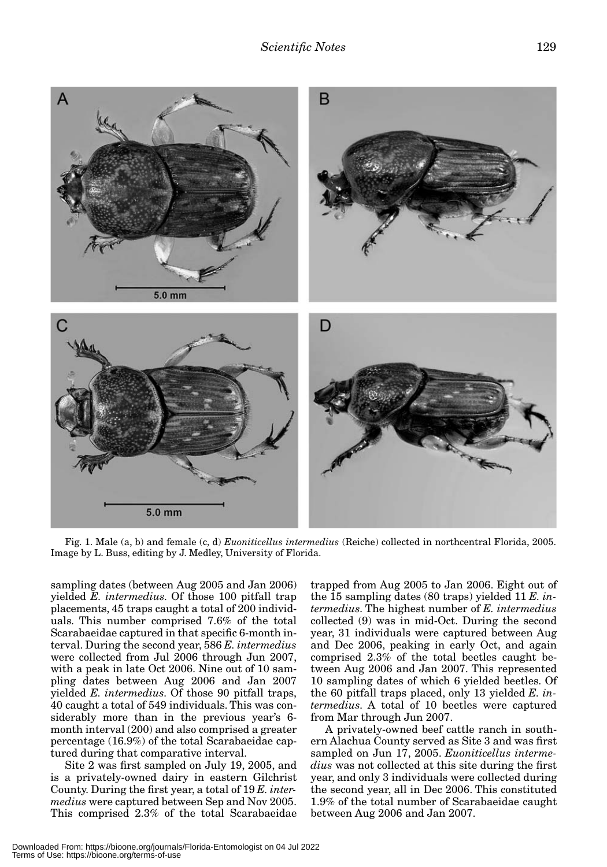

Fig. 1. Male (a, b) and female (c, d) *Euoniticellus intermedius* (Reiche) collected in northcentral Florida, 2005. Image by L. Buss, editing by J. Medley, University of Florida.

sampling dates (between Aug 2005 and Jan 2006) yielded *E. intermedius*. Of those 100 pitfall trap placements, 45 traps caught a total of 200 individuals. This number comprised 7.6% of the total Scarabaeidae captured in that specific 6-month interval. During the second year, 586 *E. intermedius* were collected from Jul 2006 through Jun 2007, with a peak in late Oct 2006. Nine out of 10 sampling dates between Aug 2006 and Jan 2007 yielded *E. intermedius*. Of those 90 pitfall traps, 40 caught a total of 549 individuals. This was considerably more than in the previous year's 6 month interval (200) and also comprised a greater percentage (16.9%) of the total Scarabaeidae captured during that comparative interval.

Site 2 was first sampled on July 19, 2005, and is a privately-owned dairy in eastern Gilchrist County. During the first year, a total of 19 *E. intermedius* were captured between Sep and Nov 2005. This comprised 2.3% of the total Scarabaeidae trapped from Aug 2005 to Jan 2006. Eight out of the 15 sampling dates (80 traps) yielded 11 *E. intermedius*. The highest number of *E. intermedius* collected (9) was in mid-Oct. During the second year, 31 individuals were captured between Aug and Dec 2006, peaking in early Oct, and again comprised 2.3% of the total beetles caught between Aug 2006 and Jan 2007. This represented 10 sampling dates of which 6 yielded beetles. Of the 60 pitfall traps placed, only 13 yielded *E. intermedius*. A total of 10 beetles were captured from Mar through Jun 2007.

A privately-owned beef cattle ranch in southern Alachua County served as Site 3 and was first sampled on Jun 17, 2005. *Euoniticellus intermedius* was not collected at this site during the first year, and only 3 individuals were collected during the second year, all in Dec 2006. This constituted 1.9% of the total number of Scarabaeidae caught between Aug 2006 and Jan 2007.